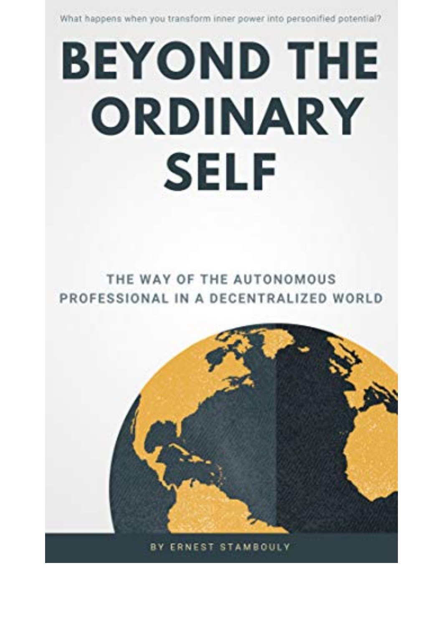What happens when you transform inner power into personified potential?

## **BEYOND THE** ORDINARY **SELF**

## THE WAY OF THE AUTONOMOUS PROFESSIONAL IN A DECENTRALIZED WORLD

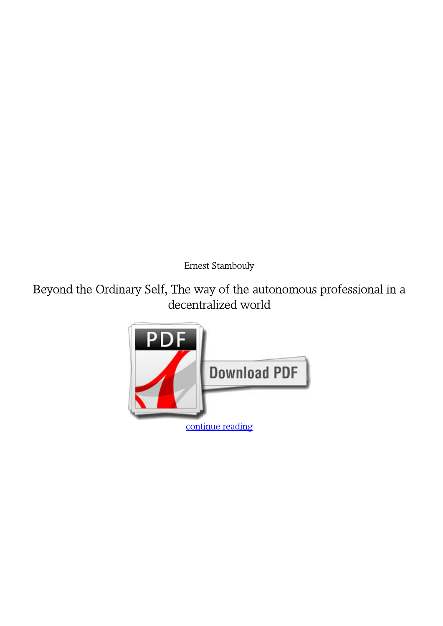*Ernest Stambouly*

**Beyond the Ordinary Self, The way of the autonomous professional in a decentralized world**

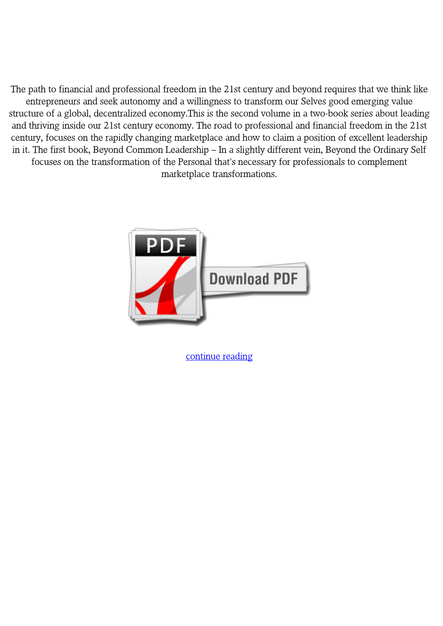The path to financial and professional freedom in the 21st century and beyond requires that we think like entrepreneurs and seek autonomy and a willingness to transform our Selves good emerging value structure of a global, decentralized economy.This is the second volume in a two-book series about leading and thriving inside our 21st century economy. The road to professional and financial freedom in the 21st century, focuses on the rapidly changing marketplace and how to claim a position of excellent leadership in it. The first book, Beyond Common Leadership – In a slightly different vein, Beyond the Ordinary Self focuses on the transformation of the Personal that's necessary for professionals to complement marketplace transformations.



[continue reading](http://bit.ly/2Tge8Fv)